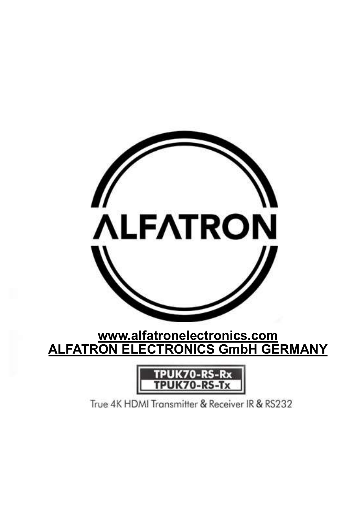

www.alfatronelectronics.com ALFATRON ELECTRONICS GmbH GERMANY



True 4K HDMI Transmitter & Receiver IR & RS232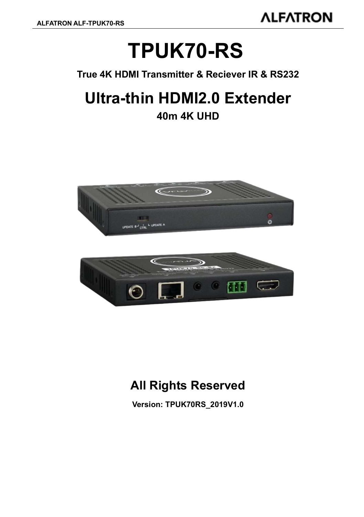# TPUK70-RS

True 4K HDMI Transmitter & Reciever IR & RS232

# Ultra-thin HDMI2.0 Extender

### 40m 4K UHD



## All Rights Reserved

Version: TPUK70RS\_2019V1.0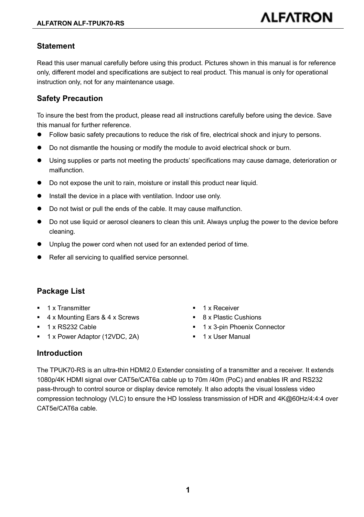#### **Statement**

Read this user manual carefully before using this product. Pictures shown in this manual is for reference only, different model and specifications are subject to real product. This manual is only for operational instruction only, not for any maintenance usage.

#### Safety Precaution

To insure the best from the product, please read all instructions carefully before using the device. Save this manual for further reference.

- Follow basic safety precautions to reduce the risk of fire, electrical shock and injury to persons.
- Do not dismantle the housing or modify the module to avoid electrical shock or burn.
- Using supplies or parts not meeting the products' specifications may cause damage, deterioration or malfunction.
- Do not expose the unit to rain, moisture or install this product near liquid.
- Install the device in a place with ventilation. Indoor use only.
- Do not twist or pull the ends of the cable. It may cause malfunction
- Do not use liquid or aerosol cleaners to clean this unit. Always unplug the power to the device before cleaning.
- Unplug the power cord when not used for an extended period of time.
- Refer all servicing to qualified service personnel.

#### Package List

- 1 x Transmitter 1 x Receiver
- $\blacksquare$  4 x Mounting Ears & 4 x Screws  $\blacksquare$  8 x Plastic Cushions
- 
- 1 x Power Adaptor (12VDC, 2A) 1 x User Manual
- 
- 
- 1 x RS232 Cable 1 x 3-pin Phoenix Connector
	-

#### Introduction

The TPUK70-RS is an ultra-thin HDMI2.0 Extender consisting of a transmitter and a receiver. It extends 1080p/4K HDMI signal over CAT5e/CAT6a cable up to 70m /40m (PoC) and enables IR and RS232 pass-through to control source or display device remotely. It also adopts the visual lossless video compression technology (VLC) to ensure the HD lossless transmission of HDR and 4K@60Hz/4:4:4 over CAT5e/CAT6a cable.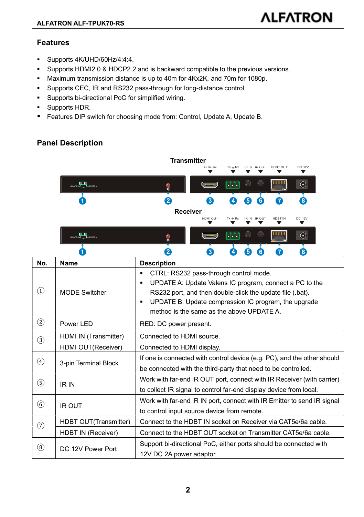#### Features

- Supports 4K/UHD/60Hz/4:4:4.
- Supports HDMI2.0 & HDCP2.2 and is backward compatible to the previous versions.
- Maximum transmission distance is up to 40m for 4Kx2K, and 70m for 1080p.
- Supports CEC, IR and RS232 pass-through for long-distance control.
- Supports bi-directional PoC for simplified wiring.
- **Supports HDR.**
- Features DIP switch for choosing mode from: Control, Update A, Update B.

#### Panel Description



| ---<br>UPDATE B THE LUPDATE A | <b>TO 2</b> | $\overline{\phantom{1}}$<br>.<br>( e )<br>l al al a<br>- 1<br>. .<br>$\sim$ $\sim$<br>- 1 - 1 -<br><b>Signal</b><br>$\overline{\phantom{0}}$ |
|-------------------------------|-------------|----------------------------------------------------------------------------------------------------------------------------------------------|
|                               |             | 4<br>ь.<br>7 OZ<br>w                                                                                                                         |

| No.               | Name                      | <b>Description</b>                                                                                                                                                                                                                                                                 |  |
|-------------------|---------------------------|------------------------------------------------------------------------------------------------------------------------------------------------------------------------------------------------------------------------------------------------------------------------------------|--|
| (1)               | <b>MODE Switcher</b>      | CTRL: RS232 pass-through control mode.<br>٠<br>UPDATE A: Update Valens IC program, connect a PC to the<br>٠<br>RS232 port, and then double-click the update file (.bat).<br>UPDATE B: Update compression IC program, the upgrade<br>٠<br>method is the same as the above UPDATE A. |  |
| ②                 | Power LED                 | RED: DC power present.                                                                                                                                                                                                                                                             |  |
| $\circled{3}$     | HDMI IN (Transmitter)     | Connected to HDMI source.                                                                                                                                                                                                                                                          |  |
|                   | HDMI OUT(Receiver)        | Connected to HDMI display.                                                                                                                                                                                                                                                         |  |
| $\circled{4}$     | 3-pin Terminal Block      | If one is connected with control device (e.g. PC), and the other should<br>be connected with the third-party that need to be controlled.                                                                                                                                           |  |
| $\circleds$       | IR IN                     | Work with far-end IR OUT port, connect with IR Receiver (with carrier)<br>to collect IR signal to control far-end display device from local.                                                                                                                                       |  |
| $\left( 6\right)$ | <b>IR OUT</b>             | Work with far-end IR IN port, connect with IR Emitter to send IR signal<br>to control input source device from remote.                                                                                                                                                             |  |
| ℗                 | HDBT OUT(Transmitter)     | Connect to the HDBT IN socket on Receiver via CAT5e/6a cable.                                                                                                                                                                                                                      |  |
|                   | <b>HDBT IN (Receiver)</b> | Connect to the HDBT OUT socket on Transmitter CAT5e/6a cable.                                                                                                                                                                                                                      |  |
| $\left( 8\right)$ | DC 12V Power Port         | Support bi-directional PoC, either ports should be connected with<br>12V DC 2A power adaptor.                                                                                                                                                                                      |  |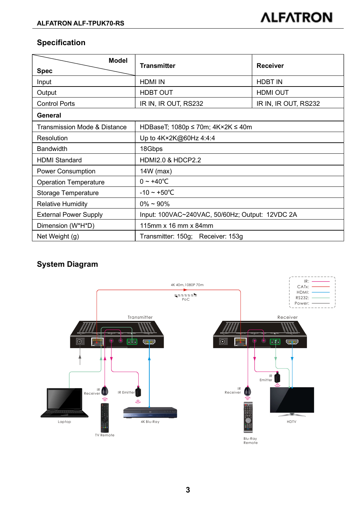#### Specification

| Model                        | <b>Transmitter</b>                                                            | Receiver                                  |  |  |
|------------------------------|-------------------------------------------------------------------------------|-------------------------------------------|--|--|
| <b>Spec</b>                  |                                                                               |                                           |  |  |
| Input                        | <b>HDMI IN</b>                                                                | HDBT IN                                   |  |  |
| Output                       | HDBT OUT                                                                      | HDMI OUT                                  |  |  |
| <b>Control Ports</b>         | IR IN, IR OUT, RS232                                                          | IR IN, IR OUT, RS232                      |  |  |
| General                      |                                                                               |                                           |  |  |
| Transmission Mode & Distance | HDBaseT; 1080p ≤ 70m; 4K×2K ≤ 40m                                             |                                           |  |  |
| Resolution                   | Up to 4K×2K@60Hz 4:4:4                                                        |                                           |  |  |
| Bandwidth                    | 18Gbps                                                                        |                                           |  |  |
| <b>HDMI</b> Standard         | <b>HDMI2.0 &amp; HDCP2.2</b>                                                  |                                           |  |  |
| <b>Power Consumption</b>     | 14W (max)                                                                     |                                           |  |  |
| <b>Operation Temperature</b> | $0 - +40^{\circ}C$                                                            |                                           |  |  |
| Storage Temperature          | $-10 - +50^{\circ}C$                                                          |                                           |  |  |
| <b>Relative Humidity</b>     | $0\% \sim 90\%$                                                               |                                           |  |  |
| <b>External Power Supply</b> | Input: 100VAC~240VAC, 50/60Hz; Output: 12VDC 2A                               |                                           |  |  |
| Dimension (W*H*D)            | 115mm x 16 mm x 84mm                                                          |                                           |  |  |
| Net Weight (g)               | Transmitter: 150g; Receiver: 153g                                             |                                           |  |  |
| <b>System Diagram</b>        | 4K 40m, 1080P 70m<br>$\frac{1}{\sqrt{2}}$ and $\frac{1}{2}$ and $\frac{1}{2}$ | IR:<br>CATx:<br>HDMI:<br>RS232:<br>Power: |  |  |
| m.<br>۱                      | Transmitter<br>$\odot$<br><b>G</b>                                            | Receiver<br>$^{\circ}$ M $\bullet$        |  |  |

#### System Diagram

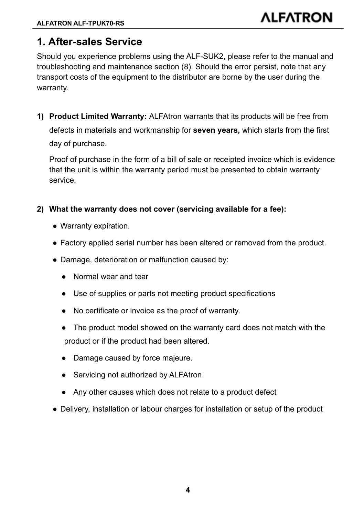### 1. After-sales Service

Should you experience problems using the ALF-SUK2, please refer to the manual and troubleshooting and maintenance section (8). Should the error persist, note that any transport costs of the equipment to the distributor are borne by the user during the warranty.

1) Product Limited Warranty: ALFAtron warrants that its products will be free from defects in materials and workmanship for seven years, which starts from the first day of purchase.

Proof of purchase in the form of a bill of sale or receipted invoice which is evidence that the unit is within the warranty period must be presented to obtain warranty service.

- 2) What the warranty does not cover (servicing available for a fee):
	- Warranty expiration.
	- Factory applied serial number has been altered or removed from the product.
	- Damage, deterioration or malfunction caused by:
		- Normal wear and tear
		- Use of supplies or parts not meeting product specifications
		- No certificate or invoice as the proof of warranty.
		- The product model showed on the warranty card does not match with the product or if the product had been altered.
		- Damage caused by force majeure.
		- Servicing not authorized by ALFAtron
		- Any other causes which does not relate to a product defect
	- Delivery, installation or labour charges for installation or setup of the product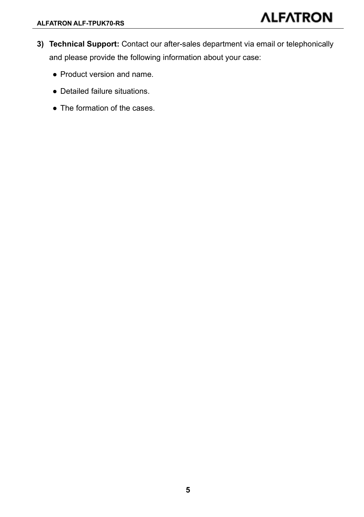- 3) Technical Support: Contact our after-sales department via email or telephonically and please provide the following information about your case:
	- Product version and name.
	- Detailed failure situations.
	- The formation of the cases.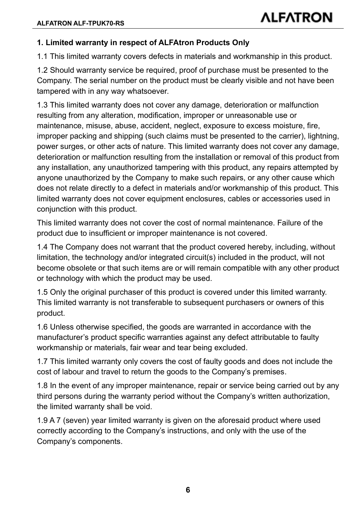#### 1. Limited warranty in respect of ALFAtron Products Only

1.1 This limited warranty covers defects in materials and workmanship in this product.

1.2 Should warranty service be required, proof of purchase must be presented to the Company. The serial number on the product must be clearly visible and not have been tampered with in any way whatsoever.

1.3 This limited warranty does not cover any damage, deterioration or malfunction resulting from any alteration, modification, improper or unreasonable use or maintenance, misuse, abuse, accident, neglect, exposure to excess moisture, fire, improper packing and shipping (such claims must be presented to the carrier), lightning, power surges, or other acts of nature. This limited warranty does not cover any damage, deterioration or malfunction resulting from the installation or removal of this product from any installation, any unauthorized tampering with this product, any repairs attempted by anyone unauthorized by the Company to make such repairs, or any other cause which does not relate directly to a defect in materials and/or workmanship of this product. This limited warranty does not cover equipment enclosures, cables or accessories used in conjunction with this product.

This limited warranty does not cover the cost of normal maintenance. Failure of the product due to insufficient or improper maintenance is not covered.

1.4 The Company does not warrant that the product covered hereby, including, without limitation, the technology and/or integrated circuit(s) included in the product, will not become obsolete or that such items are or will remain compatible with any other product or technology with which the product may be used.

1.5 Only the original purchaser of this product is covered under this limited warranty. This limited warranty is not transferable to subsequent purchasers or owners of this product.

1.6 Unless otherwise specified, the goods are warranted in accordance with the manufacturer's product specific warranties against any defect attributable to faulty workmanship or materials, fair wear and tear being excluded.

1.7 This limited warranty only covers the cost of faulty goods and does not include the cost of labour and travel to return the goods to the Company's premises.

1.8 In the event of any improper maintenance, repair or service being carried out by any third persons during the warranty period without the Company's written authorization, the limited warranty shall be void.

1.9 A 7 (seven) year limited warranty is given on the aforesaid product where used correctly according to the Company's instructions, and only with the use of the Company's components.